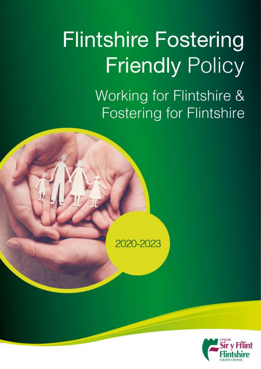# **Flintshire Fostering Friendly Policy** Working for Flintshire & **Fostering for Flintshire**



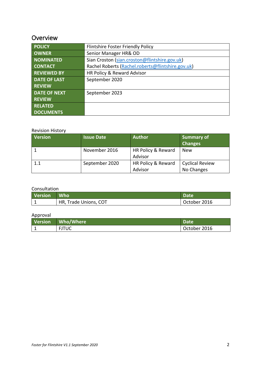## **Overview**

| <b>POLICY</b>       | Flintshire Foster Friendly Policy                 |
|---------------------|---------------------------------------------------|
| <b>OWNER</b>        | Senior Manager HR& OD                             |
| <b>NOMINATED</b>    | Sian Croston (sian.croston@flintshire.gov.uk)     |
| <b>CONTACT</b>      | Rachel Roberts (Rachel.roberts@flintshire.gov.uk) |
| <b>REVIEWED BY</b>  | HR Policy & Reward Advisor                        |
| <b>DATE OF LAST</b> | September 2020                                    |
| <b>REVIEW</b>       |                                                   |
| <b>DATE OF NEXT</b> | September 2023                                    |
| <b>REVIEW</b>       |                                                   |
| <b>RELATED</b>      |                                                   |
| <b>DOCUMENTS</b>    |                                                   |

#### Revision History

| <b>Version</b> | <b>Issue Date</b> | <b>Author</b>                 | <b>Summary of</b><br><b>Changes</b>  |
|----------------|-------------------|-------------------------------|--------------------------------------|
|                | November 2016     | HR Policy & Reward<br>Advisor | <b>New</b>                           |
| 1.1            | September 2020    | HR Policy & Reward<br>Advisor | <b>Cyclical Review</b><br>No Changes |

#### Consultation

| Version Who |                       | Date         |  |
|-------------|-----------------------|--------------|--|
|             | HR, Trade Unions, COT | October 2016 |  |

#### Approval

| <b>Version</b> | Who/Where    | <b>Date</b>  |
|----------------|--------------|--------------|
| -              | <b>FJTUC</b> | October 2016 |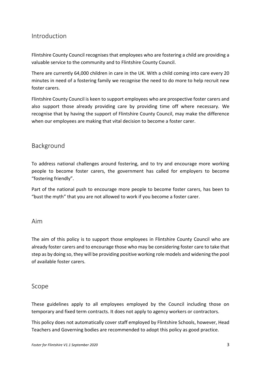### Introduction

Flintshire County Council recognises that employees who are fostering a child are providing a valuable service to the community and to Flintshire County Council.

There are currently 64,000 children in care in the UK. With a child coming into care every 20 minutes in need of a fostering family we recognise the need to do more to help recruit new foster carers.

Flintshire County Council is keen to support employees who are prospective foster carers and also support those already providing care by providing time off where necessary. We recognise that by having the support of Flintshire County Council, may make the difference when our employees are making that vital decision to become a foster carer.

## Background

To address national challenges around fostering, and to try and encourage more working people to become foster carers, the government has called for employers to become "fostering friendly".

Part of the national push to encourage more people to become foster carers, has been to "bust the myth" that you are not allowed to work if you become a foster carer.

#### Aim

The aim of this policy is to support those employees in Flintshire County Council who are already foster carers and to encourage those who may be considering foster care to take that step as by doing so, they will be providing positive working role models and widening the pool of available foster carers.

#### Scope

These guidelines apply to all employees employed by the Council including those on temporary and fixed term contracts. It does not apply to agency workers or contractors.

This policy does not automatically cover staff employed by Flintshire Schools, however, Head Teachers and Governing bodies are recommended to adopt this policy as good practice.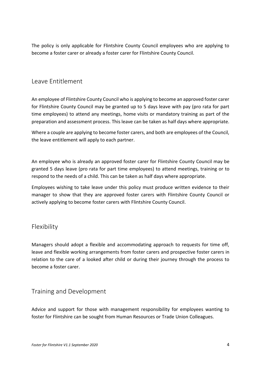The policy is only applicable for Flintshire County Council employees who are applying to become a foster carer or already a foster carer for Flintshire County Council.

## Leave Entitlement

An employee of Flintshire County Council who is applying to become an approved foster carer for Flintshire County Council may be granted up to 5 days leave with pay (pro rata for part time employees) to attend any meetings, home visits or mandatory training as part of the preparation and assessment process. This leave can be taken as half days where appropriate.

Where a couple are applying to become foster carers, and both are employees of the Council, the leave entitlement will apply to each partner.

An employee who is already an approved foster carer for Flintshire County Council may be granted 5 days leave (pro rata for part time employees) to attend meetings, training or to respond to the needs of a child. This can be taken as half days where appropriate.

Employees wishing to take leave under this policy must produce written evidence to their manager to show that they are approved foster carers with Flintshire County Council or actively applying to become foster carers with Flintshire County Council.

## Flexibility

Managers should adopt a flexible and accommodating approach to requests for time off, leave and flexible working arrangements from foster carers and prospective foster carers in relation to the care of a looked after child or during their journey through the process to become a foster carer.

## Training and Development

Advice and support for those with management responsibility for employees wanting to foster for Flintshire can be sought from Human Resources or Trade Union Colleagues.